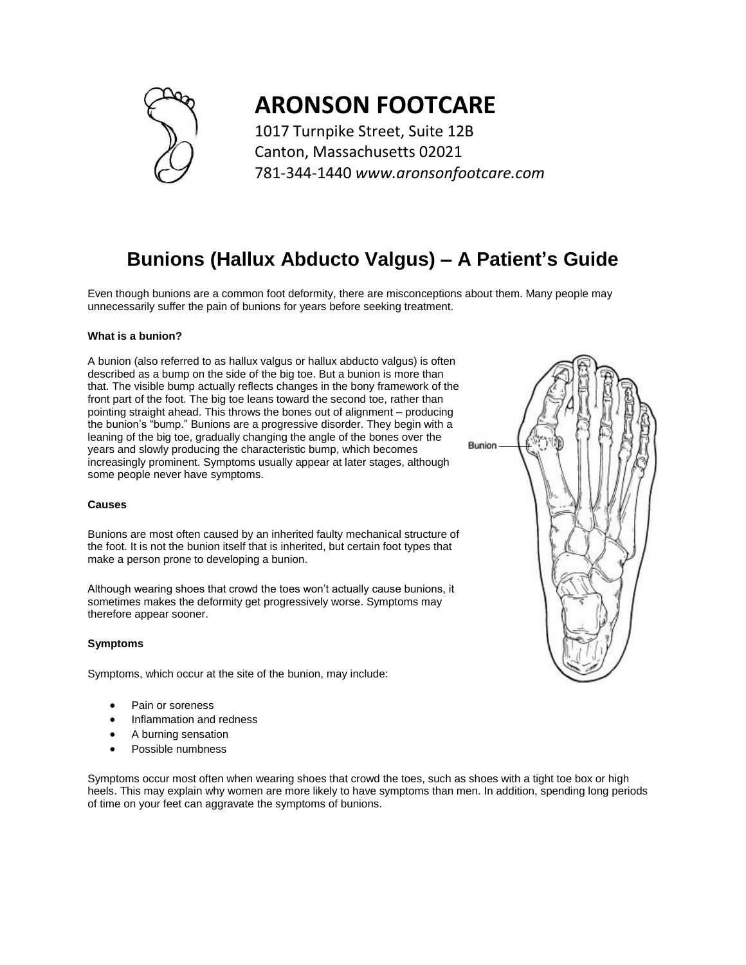

# **ARONSON FOOTCARE**

1017 Turnpike Street, Suite 12B Canton, Massachusetts 02021 781-344-1440 *www.aronsonfootcare.com*

## **Bunions (Hallux Abducto Valgus) – A Patient's Guide**

Even though bunions are a common foot deformity, there are misconceptions about them. Many people may unnecessarily suffer the pain of bunions for years before seeking treatment.

#### **What is a bunion?**

A bunion (also referred to as hallux valgus or hallux abducto valgus) is often described as a bump on the side of the big toe. But a bunion is more than that. The visible bump actually reflects changes in the bony framework of the front part of the foot. The big toe leans toward the second toe, rather than pointing straight ahead. This throws the bones out of alignment – producing the bunion's "bump." Bunions are a progressive disorder. They begin with a leaning of the big toe, gradually changing the angle of the bones over the years and slowly producing the characteristic bump, which becomes increasingly prominent. Symptoms usually appear at later stages, although some people never have symptoms.

#### **Causes**

Bunions are most often caused by an inherited faulty mechanical structure of the foot. It is not the bunion itself that is inherited, but certain foot types that make a person prone to developing a bunion.

Although wearing shoes that crowd the toes won't actually cause bunions, it sometimes makes the deformity get progressively worse. Symptoms may therefore appear sooner.

#### **Symptoms**

Symptoms, which occur at the site of the bunion, may include:

- Pain or soreness
- Inflammation and redness
- A burning sensation
- Possible numbness

Symptoms occur most often when wearing shoes that crowd the toes, such as shoes with a tight toe box or high heels. This may explain why women are more likely to have symptoms than men. In addition, spending long periods of time on your feet can aggravate the symptoms of bunions.